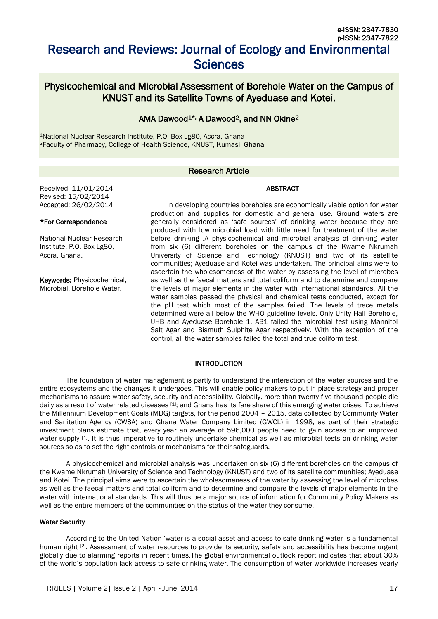# Research and Reviews: Journal of Ecology and Environmental **Sciences**

## Physicochemical and Microbial Assessment of Borehole Water on the Campus of KNUST and its Satellite Towns of Ayeduase and Kotei.

## AMA Dawood<sup>1\*,</sup> A Dawood<sup>2</sup>, and NN Okine<sup>2</sup>

<sup>1</sup>National Nuclear Research Institute, P.O. Box Lg80, Accra, Ghana <sup>2</sup>Faculty of Pharmacy, College of Health Science, KNUST, Kumasi, Ghana

## Research Article

#### ABSTRACT

Received: 11/01/2014 Revised: 15/02/2014 Accepted: 26/02/2014

#### \*For Correspondence

National Nuclear Research Institute, P.O. Box Lg80, Accra, Ghana.

Keywords: Physicochemical, Microbial, Borehole Water.

In developing countries boreholes are economically viable option for water production and supplies for domestic and general use. Ground waters are generally considered as 'safe sources' of drinking water because they are produced with low microbial load with little need for treatment of the water before drinking .A physicochemical and microbial analysis of drinking water from six (6) different boreholes on the campus of the Kwame Nkrumah University of Science and Technology (KNUST) and two of its satellite communities; Ayeduase and Kotei was undertaken. The principal aims were to ascertain the wholesomeness of the water by assessing the level of microbes as well as the faecal matters and total coliform and to determine and compare the levels of major elements in the water with international standards. All the water samples passed the physical and chemical tests conducted, except for the pH test which most of the samples failed. The levels of trace metals determined were all below the WHO guideline levels. Only Unity Hall Borehole, UHB and Ayeduase Borehole 1, AB1 failed the microbial test using Mannitol Salt Agar and Bismuth Sulphite Agar respectively. With the exception of the control, all the water samples failed the total and true coliform test.

#### INTRODUCTION

The foundation of water management is partly to understand the interaction of the water sources and the entire ecosystems and the changes it undergoes. This will enable policy makers to put in place strategy and proper mechanisms to assure water safety, security and accessibility. Globally, more than twenty five thousand people die daily as a result of water related diseases [1]; and Ghana has its fare share of this emerging water crises. To achieve the Millennium Development Goals (MDG) targets, for the period 2004 – 2015, data collected by Community Water and Sanitation Agency (CWSA) and Ghana Water Company Limited (GWCL) in 1998, as part of their strategic investment plans estimate that, every year an average of 596,000 people need to gain access to an improved water supply [1]. It is thus imperative to routinely undertake chemical as well as microbial tests on drinking water sources so as to set the right controls or mechanisms for their safeguards.

A physicochemical and microbial analysis was undertaken on six (6) different boreholes on the campus of the Kwame Nkrumah University of Science and Technology (KNUST) and two of its satellite communities; Ayeduase and Kotei. The principal aims were to ascertain the wholesomeness of the water by assessing the level of microbes as well as the faecal matters and total coliform and to determine and compare the levels of major elements in the water with international standards. This will thus be a major source of information for Community Policy Makers as well as the entire members of the communities on the status of the water they consume.

#### Water Security

According to the United Nation 'water is a social asset and access to safe drinking water is a fundamental human right [2]. Assessment of water resources to provide its security, safety and accessibility has become urgent globally due to alarming reports in recent times.The global environmental outlook report indicates that about 30% of the world's population lack access to safe drinking water. The consumption of water worldwide increases yearly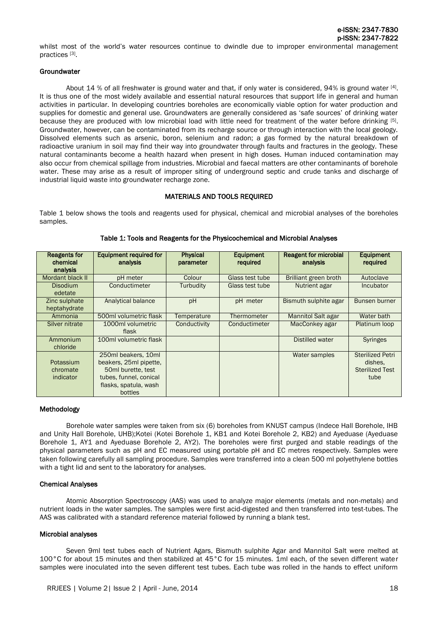whilst most of the world's water resources continue to dwindle due to improper environmental management practices<sup>[3]</sup>.

#### **Groundwater**

About 14 % of all freshwater is ground water and that, if only water is considered, 94% is ground water  $^{[4]}$ . It is thus one of the most widely available and essential natural resources that support life in general and human activities in particular. In developing countries boreholes are economically viable option for water production and supplies for domestic and general use. Groundwaters are generally considered as 'safe sources' of drinking water because they are produced with low microbial load with little need for treatment of the water before drinking [5]. Groundwater, however, can be contaminated from its recharge source or through interaction with the local geology. Dissolved elements such as arsenic, boron, selenium and radon; a gas formed by the natural breakdown of radioactive uranium in soil may find their way into groundwater through faults and fractures in the geology. These natural contaminants become a health hazard when present in high doses. Human induced contamination may also occur from chemical spillage from industries. Microbial and faecal matters are other contaminants of borehole water. These may arise as a result of improper siting of underground septic and crude tanks and discharge of industrial liquid waste into groundwater recharge zone.

## MATERIALS AND TOOLS REQUIRED

Table 1 below shows the tools and reagents used for physical, chemical and microbial analyses of the boreholes samples.

| <b>Reagents for</b> | Equipment required for | <b>Physical</b> | Equipment       | Reagent for microbial     | Equipment               |
|---------------------|------------------------|-----------------|-----------------|---------------------------|-------------------------|
| chemical            | analysis               | parameter       | required        | analysis                  | required                |
| analysis            |                        |                 |                 |                           |                         |
| Mordant black II    | pH meter               | Colour          | Glass test tube | Brilliant green broth     | Autoclave               |
| <b>Disodium</b>     | Conductimeter          | Turbudity       | Glass test tube | Nutrient agar             | Incubator               |
| edetate             |                        |                 |                 |                           |                         |
| Zinc sulphate       | Analytical balance     | pH              | pH meter        | Bismuth sulphite agar     | Bunsen burner           |
| heptahydrate        |                        |                 |                 |                           |                         |
| Ammonia             | 500ml volumetric flask | Temperature     | Thermometer     | <b>Mannitol Salt agar</b> | Water bath              |
| Silver nitrate      | 1000ml volumetric      | Conductivity    | Conductimeter   | MacConkey agar            | Platinum loop           |
|                     | flask                  |                 |                 |                           |                         |
| Ammonium            | 100ml volumetric flask |                 |                 | Distilled water           | <b>Syringes</b>         |
| chloride            |                        |                 |                 |                           |                         |
|                     | 250ml beakers, 10ml    |                 |                 | Water samples             | <b>Sterilized Petri</b> |
| Potassium           | beakers, 25ml pipette, |                 |                 |                           | dishes.                 |
| chromate            | 50ml burette, test     |                 |                 |                           | <b>Sterilized Test</b>  |
| indicator           | tubes, funnel, conical |                 |                 |                           | tube                    |
|                     | flasks, spatula, wash  |                 |                 |                           |                         |
|                     | bottles                |                 |                 |                           |                         |

#### Table 1: Tools and Reagents for the Physicochemical and Microbial Analyses

#### Methodology

Borehole water samples were taken from six (6) boreholes from KNUST campus (Indece Hall Borehole, IHB and Unity Hall Borehole, UHB);Kotei (Kotei Borehole 1, KB1 and Kotei Borehole 2, KB2) and Ayeduase (Ayeduase Borehole 1, AY1 and Ayeduase Borehole 2, AY2). The boreholes were first purged and stable readings of the physical parameters such as pH and EC measured using portable pH and EC metres respectively. Samples were taken following carefully all sampling procedure. Samples were transferred into a clean 500 ml polyethylene bottles with a tight lid and sent to the laboratory for analyses.

#### Chemical Analyses

Atomic Absorption Spectroscopy (AAS) was used to analyze major elements (metals and non-metals) and nutrient loads in the water samples. The samples were first acid-digested and then transferred into test-tubes. The AAS was calibrated with a standard reference material followed by running a blank test.

#### Microbial analyses

Seven 9ml test tubes each of Nutrient Agars, Bismuth sulphite Agar and Mannitol Salt were melted at 100°C for about 15 minutes and then stabilized at 45°C for 15 minutes. 1ml each, of the seven different water samples were inoculated into the seven different test tubes. Each tube was rolled in the hands to effect uniform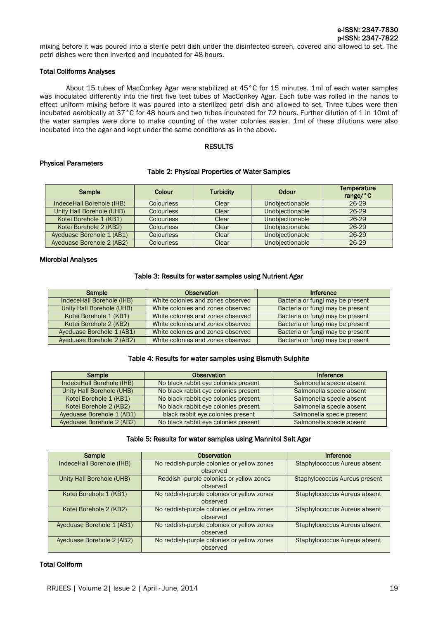mixing before it was poured into a sterile petri dish under the disinfected screen, covered and allowed to set. The petri dishes were then inverted and incubated for 48 hours.

#### Total Coliforms Analyses

About 15 tubes of MacConkey Agar were stabilized at 45°C for 15 minutes. 1ml of each water samples was inoculated differently into the first five test tubes of MacConkey Agar. Each tube was rolled in the hands to effect uniform mixing before it was poured into a sterilized petri dish and allowed to set. Three tubes were then incubated aerobically at 37°C for 48 hours and two tubes incubated for 72 hours. Further dilution of 1 in 10ml of the water samples were done to make counting of the water colonies easier. 1ml of these dilutions were also incubated into the agar and kept under the same conditions as in the above.

#### RESULTS

#### Physical Parameters

#### Table 2: Physical Properties of Water Samples

| Sample                    | <b>Colour</b>     | <b>Turbidity</b> | <b>Odour</b>    | <b>Temperature</b><br>range/ $^{\circ}$ C |
|---------------------------|-------------------|------------------|-----------------|-------------------------------------------|
| IndeceHall Borehole (IHB) | <b>Colourless</b> | Clear            | Unobjectionable | 26-29                                     |
| Unity Hall Borehole (UHB) | <b>Colourless</b> | Clear            | Unobjectionable | 26-29                                     |
| Kotei Borehole 1 (KB1)    | <b>Colourless</b> | Clear            | Unobjectionable | 26-29                                     |
| Kotei Borehole 2 (KB2)    | <b>Colourless</b> | Clear            | Unobjectionable | 26-29                                     |
| Ayeduase Borehole 1 (AB1) | <b>Colourless</b> | Clear            | Unobjectionable | 26-29                                     |
| Ayeduase Borehole 2 (AB2) | <b>Colourless</b> | Clear            | Unobjectionable | 26-29                                     |

#### Microbial Analyses

#### Table 3: Results for water samples using Nutrient Agar

| Sample                    | <b>Observation</b>                | Inference                        |
|---------------------------|-----------------------------------|----------------------------------|
| IndeceHall Borehole (IHB) | White colonies and zones observed | Bacteria or fungi may be present |
| Unity Hall Borehole (UHB) | White colonies and zones observed | Bacteria or fungi may be present |
| Kotei Borehole 1 (KB1)    | White colonies and zones observed | Bacteria or fungi may be present |
| Kotei Borehole 2 (KB2)    | White colonies and zones observed | Bacteria or fungi may be present |
| Ayeduase Borehole 1 (AB1) | White colonies and zones observed | Bacteria or fungi may be present |
| Ayeduase Borehole 2 (AB2) | White colonies and zones observed | Bacteria or fungi may be present |

#### Table 4: Results for water samples using Bismuth Sulphite

| Sample                    | <b>Observation</b>                   | Inference                 |
|---------------------------|--------------------------------------|---------------------------|
| IndeceHall Borehole (IHB) | No black rabbit eye colonies present | Salmonella specie absent  |
| Unity Hall Borehole (UHB) | No black rabbit eye colonies present | Salmonella specie absent  |
| Kotei Borehole 1 (KB1)    | No black rabbit eye colonies present | Salmonella specie absent  |
| Kotei Borehole 2 (KB2)    | No black rabbit eye colonies present | Salmonella specie absent  |
| Ayeduase Borehole 1 (AB1) | black rabbit eye colonies present    | Salmonella specie present |
| Ayeduase Borehole 2 (AB2) | No black rabbit eye colonies present | Salmonella specie absent  |

#### Table 5: Results for water samples using Mannitol Salt Agar

| Sample                    | Observation                                | Inference                            |
|---------------------------|--------------------------------------------|--------------------------------------|
| IndeceHall Borehole (IHB) | No reddish-purple colonies or yellow zones | Staphylococcus Aureus absent         |
|                           | observed                                   |                                      |
| Unity Hall Borehole (UHB) | Reddish -purple colonies or yellow zones   | <b>Staphylococcus Aureus present</b> |
|                           | observed                                   |                                      |
| Kotei Borehole 1 (KB1)    | No reddish-purple colonies or yellow zones | Staphylococcus Aureus absent         |
|                           | observed                                   |                                      |
| Kotei Borehole 2 (KB2)    | No reddish-purple colonies or yellow zones | Staphylococcus Aureus absent         |
|                           | observed                                   |                                      |
| Ayeduase Borehole 1 (AB1) | No reddish-purple colonies or yellow zones | Staphylococcus Aureus absent         |
|                           | observed                                   |                                      |
| Ayeduase Borehole 2 (AB2) | No reddish-purple colonies or yellow zones | Staphylococcus Aureus absent         |
|                           | observed                                   |                                      |

#### Total Coliform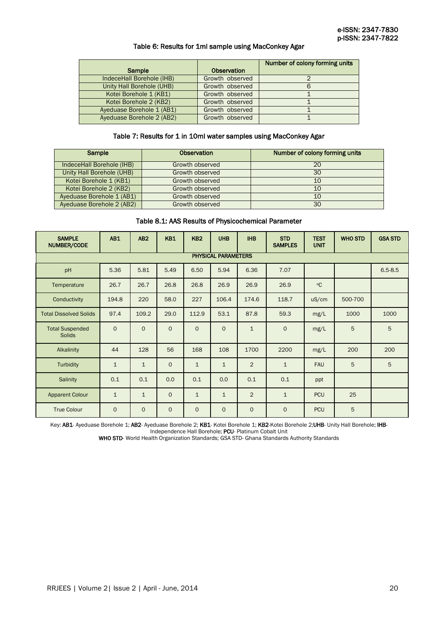#### Table 6: Results for 1ml sample using MacConkey Agar

|                                  |                    | Number of colony forming units |
|----------------------------------|--------------------|--------------------------------|
| Sample                           | <b>Observation</b> |                                |
| IndeceHall Borehole (IHB)        | Growth observed    |                                |
| <b>Unity Hall Borehole (UHB)</b> | Growth observed    |                                |
| Kotei Borehole 1 (KB1)           | Growth observed    |                                |
| Kotei Borehole 2 (KB2)           | Growth observed    |                                |
| Ayeduase Borehole 1 (AB1)        | Growth observed    |                                |
| Ayeduase Borehole 2 (AB2)        | Growth observed    |                                |

#### Table 7: Results for 1 in 10ml water samples using MacConkey Agar

| Sample                    | <b>Observation</b> | Number of colony forming units |  |  |  |  |
|---------------------------|--------------------|--------------------------------|--|--|--|--|
|                           |                    |                                |  |  |  |  |
| IndeceHall Borehole (IHB) | Growth observed    | 20                             |  |  |  |  |
| Unity Hall Borehole (UHB) | Growth observed    | 30                             |  |  |  |  |
|                           |                    |                                |  |  |  |  |
| Kotei Borehole 1 (KB1)    | Growth observed    | 10                             |  |  |  |  |
|                           |                    |                                |  |  |  |  |
| Kotei Borehole 2 (KB2)    | Growth observed    | 10                             |  |  |  |  |
| Ayeduase Borehole 1 (AB1) | Growth observed    | 10                             |  |  |  |  |
|                           |                    |                                |  |  |  |  |
| Ayeduase Borehole 2 (AB2) | Growth observed    | 30                             |  |  |  |  |
|                           |                    |                                |  |  |  |  |

### Table 8.1: AAS Results of Physicochemical Parameter

| <b>SAMPLE</b><br>NUMBER/CODE            | AB1            | AB <sub>2</sub> | <b>KB1</b>   | KB <sub>2</sub> | <b>UHB</b>   | <b>IHB</b>     | <b>STD</b><br><b>SAMPLES</b> | <b>TEST</b><br><b>UNIT</b> | <b>WHO STD</b> | <b>GSA STD</b> |  |
|-----------------------------------------|----------------|-----------------|--------------|-----------------|--------------|----------------|------------------------------|----------------------------|----------------|----------------|--|
| <b>PHYSICAL PARAMETERS</b>              |                |                 |              |                 |              |                |                              |                            |                |                |  |
| pH                                      | 5.36           | 5.81            | 5.49         | 6.50            | 5.94         | 6.36           | 7.07                         |                            |                | $6.5 - 8.5$    |  |
| Temperature                             | 26.7           | 26.7            | 26.8         | 26.8            | 26.9         | 26.9           | 26.9                         | $^{\circ}$ C               |                |                |  |
| Conductivity                            | 194.8          | 220             | 58.0         | 227             | 106.4        | 174.6          | 118.7                        | uS/cm                      | 500-700        |                |  |
| <b>Total Dissolved Solids</b>           | 97.4           | 109.2           | 29.0         | 112.9           | 53.1         | 87.8           | 59.3                         | mg/L                       | 1000           | 1000           |  |
| <b>Total Suspended</b><br><b>Solids</b> | $\overline{0}$ | $\circ$         | $\mathsf{O}$ | $\mathbf{O}$    | $\mathbf{O}$ | $\mathbf{1}$   | $\mathbf{O}$                 | mg/L                       | 5              | 5              |  |
| Alkalinity                              | 44             | 128             | 56           | 168             | 108          | 1700           | 2200                         | mg/L                       | 200            | 200            |  |
| Turbidity                               | $\mathbf{1}$   | $\mathbf{1}$    | $\mathsf{O}$ | $\mathbf{1}$    | $\mathbf{1}$ | $\overline{2}$ | $\mathbf{1}$                 | <b>FAU</b>                 | 5              | 5              |  |
| Salinity                                | 0.1            | 0.1             | 0.0          | 0.1             | 0.0          | 0.1            | 0.1                          | ppt                        |                |                |  |
| <b>Apparent Colour</b>                  | $\mathbf{1}$   | $\mathbf{1}$    | $\mathsf{O}$ | $\mathbf{1}$    | $\mathbf{1}$ | $\overline{2}$ | $\mathbf{1}$                 | <b>PCU</b>                 | 25             |                |  |
| <b>True Colour</b>                      | $\overline{0}$ | $\circ$         | $\mathsf{O}$ | $\mathbf{O}$    | $\mathbf{O}$ | $\mathbf 0$    | $\mathsf{O}$                 | <b>PCU</b>                 | 5              |                |  |

Key: AB1- Ayeduase Borehole 1; AB2- Ayeduase Borehole 2; KB1- Kotei Borehole 1; KB2-Kotei Borehole 2;UHB- Unity Hall Borehole; IHB-Independence Hall Borehole: PCU- Platinum Cobalt Unit

WHO STD- World Health Organization Standards; GSA STD- Ghana Standards Authority Standards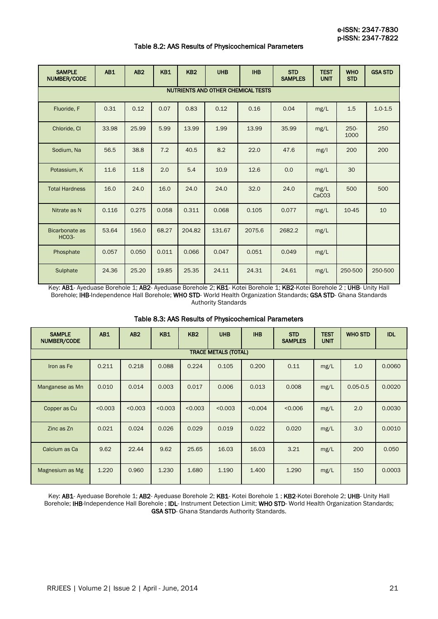#### Table 8.2: AAS Results of Physicochemical Parameters

| <b>SAMPLE</b><br>NUMBER/CODE              | AB1   | AB2   | <b>KB1</b> | KB <sub>2</sub> | <b>UHB</b> | <b>IHB</b> | <b>STD</b><br><b>SAMPLES</b> | <b>TEST</b><br><b>UNIT</b> | <b>WHO</b><br><b>STD</b> | <b>GSA STD</b> |  |
|-------------------------------------------|-------|-------|------------|-----------------|------------|------------|------------------------------|----------------------------|--------------------------|----------------|--|
| <b>NUTRIENTS AND OTHER CHEMICAL TESTS</b> |       |       |            |                 |            |            |                              |                            |                          |                |  |
| Fluoride, F                               | 0.31  | 0.12  | 0.07       | 0.83            | 0.12       | 0.16       | 0.04                         | mg/L                       | 1.5                      | $1.0 - 1.5$    |  |
| Chloride, Cl                              | 33.98 | 25.99 | 5.99       | 13.99           | 1.99       | 13.99      | 35.99                        | mg/L                       | $250 -$<br>1000          | 250            |  |
| Sodium, Na                                | 56.5  | 38.8  | 7.2        | 40.5            | 8.2        | 22.0       | 47.6                         | mg/l                       | 200                      | 200            |  |
| Potassium, K                              | 11.6  | 11.8  | 2.0        | 5.4             | 10.9       | 12.6       | 0.0                          | mg/L                       | 30                       |                |  |
| <b>Total Hardness</b>                     | 16.0  | 24.0  | 16.0       | 24.0            | 24.0       | 32.0       | 24.0                         | mg/L<br>CaCO <sub>3</sub>  | 500                      | 500            |  |
| Nitrate as N                              | 0.116 | 0.275 | 0.058      | 0.311           | 0.068      | 0.105      | 0.077                        | mg/L                       | 10-45                    | 10             |  |
| Bicarbonate as<br><b>HCO3-</b>            | 53.64 | 156.0 | 68.27      | 204.82          | 131.67     | 2075.6     | 2682.2                       | mg/L                       |                          |                |  |
| Phosphate                                 | 0.057 | 0.050 | 0.011      | 0.066           | 0.047      | 0.051      | 0.049                        | mg/L                       |                          |                |  |
| Sulphate                                  | 24.36 | 25.20 | 19.85      | 25.35           | 24.11      | 24.31      | 24.61                        | mg/L                       | 250-500                  | 250-500        |  |

Key: AB1- Ayeduase Borehole 1; AB2- Ayeduase Borehole 2; KB1- Kotei Borehole 1; KB2-Kotei Borehole 2 ; UHB- Unity Hall Borehole; IHB-Independence Hall Borehole; WHO STD- World Health Organization Standards; GSA STD- Ghana Standards Authority Standards

| Table 8.3: AAS Results of Physicochemical Parameters |  |  |
|------------------------------------------------------|--|--|
|------------------------------------------------------|--|--|

| <b>SAMPLE</b><br>NUMBER/CODE | AB1                         | AB2     | <b>KB1</b> | KB <sub>2</sub> | <b>UHB</b> | <b>IHB</b> | <b>STD</b><br><b>SAMPLES</b> | <b>TEST</b><br><b>UNIT</b> | <b>WHO STD</b> | <b>IDL</b> |  |
|------------------------------|-----------------------------|---------|------------|-----------------|------------|------------|------------------------------|----------------------------|----------------|------------|--|
|                              | <b>TRACE METALS (TOTAL)</b> |         |            |                 |            |            |                              |                            |                |            |  |
| Iron as Fe                   | 0.211                       | 0.218   | 0.088      | 0.224           | 0.105      | 0.200      | 0.11                         | mg/L                       | 1.0            | 0.0060     |  |
| Manganese as Mn              | 0.010                       | 0.014   | 0.003      | 0.017           | 0.006      | 0.013      | 0.008                        | mg/L                       | $0.05 - 0.5$   | 0.0020     |  |
| Copper as Cu                 | < 0.003                     | < 0.003 | < 0.003    | < 0.003         | < 0.003    | < 0.004    | < 0.006                      | mg/L                       | 2.0            | 0.0030     |  |
| Zinc as Zn                   | 0.021                       | 0.024   | 0.026      | 0.029           | 0.019      | 0.022      | 0.020                        | mg/L                       | 3.0            | 0.0010     |  |
| Calcium as Ca                | 9.62                        | 22.44   | 9.62       | 25.65           | 16.03      | 16.03      | 3.21                         | mg/L                       | 200            | 0.050      |  |
| Magnesium as Mg              | 1.220                       | 0.960   | 1.230      | 1.680           | 1.190      | 1.400      | 1.290                        | mg/L                       | 150            | 0.0003     |  |

Key: AB1- Ayeduase Borehole 1; AB2- Ayeduase Borehole 2; KB1- Kotei Borehole 1; KB2-Kotei Borehole 2; UHB- Unity Hall Borehole; IHB-Independence Hall Borehole ; IDL- Instrument Detection Limit; WHO STD- World Health Organization Standards; GSA STD- Ghana Standards Authority Standards.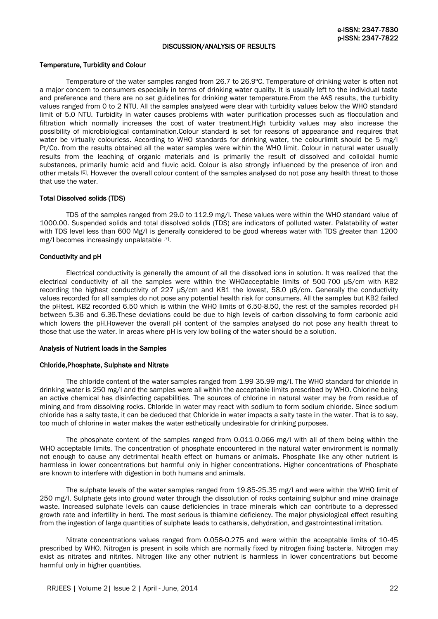#### DISCUSSION/ANALYSIS OF RESULTS

#### Temperature, Turbidity and Colour

Temperature of the water samples ranged from 26.7 to 26.9ºC. Temperature of drinking water is often not a major concern to consumers especially in terms of drinking water quality. It is usually left to the individual taste and preference and there are no set guidelines for drinking water temperature.From the AAS results, the turbidity values ranged from 0 to 2 NTU. All the samples analysed were clear with turbidity values below the WHO standard limit of 5.0 NTU. Turbidity in water causes problems with water purification processes such as flocculation and filtration which normally increases the cost of water treatment.High turbidity values may also increase the possibility of microbiological contamination.Colour standard is set for reasons of appearance and requires that water be virtually colourless. According to WHO standards for drinking water, the colourlimit should be 5 mg/l Pt/Co. from the results obtained all the water samples were within the WHO limit. Colour in natural water usually results from the leaching of organic materials and is primarily the result of dissolved and colloidal humic substances, primarily humic acid and fluvic acid. Colour is also strongly influenced by the presence of iron and other metals [6]. However the overall colour content of the samples analysed do not pose any health threat to those that use the water.

#### Total Dissolved solids (TDS)

TDS of the samples ranged from 29.0 to 112.9 mg/l. These values were within the WHO standard value of 1000.00. Suspended solids and total dissolved solids (TDS) are indicators of polluted water. Palatability of water with TDS level less than 600 Mg/l is generally considered to be good whereas water with TDS greater than 1200 mg/I becomes increasingly unpalatable [7].

#### Conductivity and pH

Electrical conductivity is generally the amount of all the dissolved ions in solution. It was realized that the electrical conductivity of all the samples were within the WHOacceptable limits of 500-700 µS/cm with KB2 recording the highest conductivity of 227 µS/cm and KB1 the lowest, 58.0 µS/cm. Generally the conductivity values recorded for all samples do not pose any potential health risk for consumers. All the samples but KB2 failed the pHtest. KB2 recorded 6.50 which is within the WHO limits of 6.50-8.50, the rest of the samples recorded pH between 5.36 and 6.36.These deviations could be due to high levels of carbon dissolving to form carbonic acid which lowers the pH.However the overall pH content of the samples analysed do not pose any health threat to those that use the water. In areas where pH is very low boiling of the water should be a solution.

#### Analysis of Nutrient loads in the Samples

#### Chloride,Phosphate, Sulphate and Nitrate

The chloride content of the water samples ranged from 1.99-35.99 mg/l. The WHO standard for chloride in drinking water is 250 mg/l and the samples were all within the acceptable limits prescribed by WHO. Chlorine being an active chemical has disinfecting capabilities. The sources of chlorine in natural water may be from residue of mining and from dissolving rocks. Chloride in water may react with sodium to form sodium chloride. Since sodium chloride has a salty taste, it can be deduced that Chloride in water impacts a salty taste in the water. That is to say, too much of chlorine in water makes the water esthetically undesirable for drinking purposes.

The phosphate content of the samples ranged from 0.011-0.066 mg/l with all of them being within the WHO acceptable limits. The concentration of phosphate encountered in the natural water environment is normally not enough to cause any detrimental health effect on humans or animals. Phosphate like any other nutrient is harmless in lower concentrations but harmful only in higher concentrations. Higher concentrations of Phosphate are known to interfere with digestion in both humans and animals.

The sulphate levels of the water samples ranged from 19.85-25.35 mg/l and were within the WHO limit of 250 mg/l. Sulphate gets into ground water through the dissolution of rocks containing sulphur and mine drainage waste. Increased sulphate levels can cause deficiencies in trace minerals which can contribute to a depressed growth rate and infertility in herd. The most serious is thiamine deficiency. The major physiological effect resulting from the ingestion of large quantities of sulphate leads to catharsis, dehydration, and gastrointestinal irritation.

Nitrate concentrations values ranged from 0.058-0.275 and were within the acceptable limits of 10-45 prescribed by WHO. Nitrogen is present in soils which are normally fixed by nitrogen fixing bacteria. Nitrogen may exist as nitrates and nitrites. Nitrogen like any other nutrient is harmless in lower concentrations but become harmful only in higher quantities.